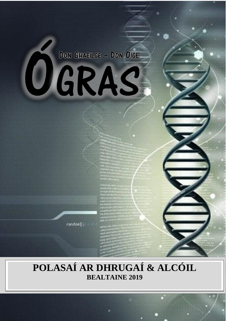# DON GHAEILGE - DON ÓIGE OGRAS

randon | plastic

# POLASAÍ AR DHRUGAÍ & ALCÓIL **BEALTAINE 2019**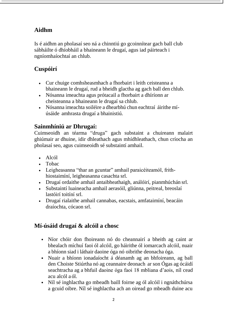# **Aidhm**

Is é aidhm an pholasaí seo ná a chinntiú go gcoinnítear gach ball club sábháilte ó dhíobháil a bhaineann le drugaí, agus iad páirteach i ngníomhaíochtaí an chlub.

# **Cuspóirí**

- Cur chuige comhsheasmhach a fhorbairt i leith ceisteanna a bhaineann le drugaí, rud a bheidh glactha ag gach ball den chlub.
- Nósanna imeachta agus prótacail a fhorbairt a dhíríonn ar cheisteanna a bhaineann le drugaí sa chlub.
- Nósanna imeachta soiléire a dhearbhú chun eachtraí áirithe míúsáide amhrasta drugaí a bhainistiú.

# **Sainmhíniú ar Dhrugaí:**

Cuimseoidh an téarma "druga" gach substaint a chuireann malairt ghiúmair ar dhuine, idir dhleathach agus mhídhleathach, chun críocha an pholasaí seo, agus cuimseoidh sé substaintí amhail.

- $Alc$
- Tobac
- Leigheasanna "thar an gcuntar" amhail paraicéiteamól, frithhiostaimíní, leigheasanna casachta srl.
- Drugaí ordaithe amhail antaibheathaigh, análóirí, pianmhúchán srl.
- Substaintí luaineacha amhail aerasóil, gliúnna, peitreal, breoslaí lastóirí toitíní srl.
- Drugaí rialaithe amhail cannabas, eacstais, amfataimíní, beacáin draíochta, cócaon srl.

# **Mí-úsáid drugaí & alcóil a chosc**

- Níor chóir don fhoireann nó do cheannairí a bheith ag caint ar bhealach míchuí faoi ól alcóil, go háirithe ól iomarcach alcóil, nuair a bhíonn siad i láthair daoine óga nó oibrithe deonacha óga.
- Nuair a bhíonn ionadaíocht á déanamh ag an bhfoireann, ag ball den Choiste Stiúrtha nó ag ceannaire deonach ar son Ógas ag ócáidí seachtracha ag a bhfuil daoine óga faoi 18 mbliana d'aois, níl cead acu alcól a ól.
- Níl sé inghlactha go mbeadh baill foirne ag ól alcóil i ngnáthchúrsa a gcuid oibre. Níl sé inghlactha ach an oiread go mbeadh duine acu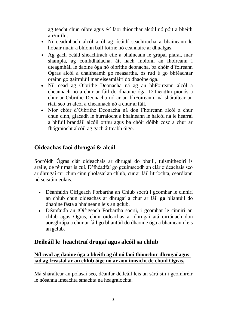ag teacht chun oibre agus é/í faoi thionchar alcóil nó póit a bheith air/uirthi.

- Ní ceadmhach alcól a ól ag ócáidí seachtracha a bhaineann le hobair nuair a bhíonn ball foirne nó ceannaire ar dhualgas.
- Ag gach ócáid sheachtrach eile a bhaineann le grúpaí piaraí, mar shampla, ag comhdhálacha, áit nach mbíonn an fhoireann i dteagmháil le daoine óga nó oibrithe deonacha, ba chóir d'foireann Ógras alcól a chaitheamh go measartha, ós rud é go bhféachtar orainn go gairmiúil mar eiseamláirí do dhaoine óga.
- Níl cead ag Oibrithe Deonacha ná ag an bhFoireann alcól a cheannach nó a chur ar fáil do dhaoine óga. D'fhéadfaí pionós a chur ar Oibrithe Deonacha nó ar an bhFoireann má sháraítear an riail seo trí alcól a cheannach nó a chur arfáil.
- Níor chóir d'Oibrithe Deonacha ná don Fhoireann alcól a chur chun cinn, glacadh le hurraíocht a bhaineann le halcól ná le hearraí a bhfuil brandáil alcóil orthu agus ba chóir dóibh cosc a chur ar fhógraíocht alcóil ag gach áitreabh óige.

## **Oideachas faoi dhrugaí & alcól**

Socróidh Ógras clár oideachais ar dhrugaí do bhaill, tuismitheoirí is araile, de réir mar is cuí. D'fhéadfaí go gcuimseodh an clár oideachais seo ar dhrugaí cur chun cinn pholasaí an chlub, cur ar fáil litríochta, ceardlann nó seisiúin eolais.

- Déanfaidh Oifigeach Forbartha an Chlub socrú i gcomhar le cinnirí an chlub chun oideachas ar dhrugaí a chur ar fáil **go** bliantúil do dhaoine fásta a bhaineann leis an gclub.
- Déanfaidh an tOifigeach Forbartha socrú, i gcomhar le cinnirí an chlub agus Ógras, chun oideachas ar dhrugaí atá oiriúnach don aoisghrúpa a chur ar fáil **go** bliantúil do dhaoine óga a bhaineann leis an gclub.

## **Deileáil le heachtraí drugaí agus alcóil sa chlub**

#### **Níl cead ag daoine óga a bheith ag ól nó faoi thionchur dhrugaí agus iad ag freastal ar an chlub óige nó ar aon imeacht de chuid Ógras.**

Má sháraítear an polasaí seo, déanfar déileáil leis an sárú sin i gcomhréir le nósanna imeachta smachta na heagraíochta.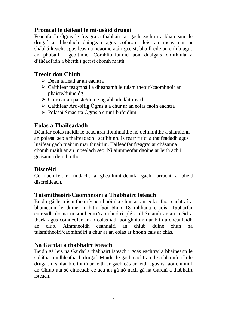# **Prótacal le déileáil le mí-úsáid drugaí**

Féachfaidh Ógras le freagra a thabhairt ar gach eachtra a bhaineann le drugaí ar bhealach daingean agus cothrom, leis an meas cuí ar shábháilteacht agus leas na ndaoine atá i gceist, bhaill eile an chlub agus an phobail i gcoitinne. Comhlíonfaimid aon dualgais dhlíthiúla a d'fhéadfadh a bheith i gceist chomh maith.

# **Treoir don Chlub**

- Déan taifead ar an eachtra
- Caithfear teagmháil a dhéanamh le tuismitheoirí/caomhnóir an phaiste/duine óg
- Cuirtear an paiste/duine óg abhaile láithreach
- $\triangleright$  Caithfear Ard-oifig Ógras a a chur ar an eolas faoin eachtra
- Polasaí Smachta Ógras a chur i bhfeidhm

# **Eolas a Thaifeadadh**

Déanfar eolas maidir le heachtraí líomhnaithe nó deimhnithe a sháraíonn an polasaí seo a thaifeadadh i scríbhinn. Is fearr fíricí a thaifeadadh agus luaifear gach tuairim mar thuairim. Taifeadfar freagraí ar chásanna chomh maith ar an mbealach seo. Ní ainmneofar daoine ar leith ach i gcásanna deimhnithe.

## **Discréid**

Cé nach féidir rúndacht a gheallúint déanfar gach iarracht a bheith discréideach.

## **Tuismitheoirí/Caomhnóirí a Thabhairt Isteach**

Beidh gá le tuismitheoirí/caomhnóirí a chur ar an eolas faoi eachtraí a bhaineann le duine ar bith faoi bhun 18 mbliana d'aois. Tabharfar cuireadh do na tuismitheoirí/caomhnóirí plé a dhéanamh ar an méid a tharla agus coinneofar ar an eolas iad faoi ghníomh ar bith a dhéanfaidh an club. Ainmneoidh ceannairí an chlub duine chun na tuismitheoirí/caomhnóirí a chur ar an eolas ar bhonn cáis ar chás.

## **Na Gardaí a thabhairt isteach**

Beidh gá leis na Gardaí a thabhairt isteach i gcás eachtraí a bhaineann le soláthar mídhleathach drugaí. Maidir le gach eachtra eile a bhainfeadh le drugaí, déanfar breithniú ar leith ar gach cás ar leith agus is faoi chinnirí an Chlub atá sé cinneadh cé acu an gá nó nach gá na Gardaí a thabhairt isteach.